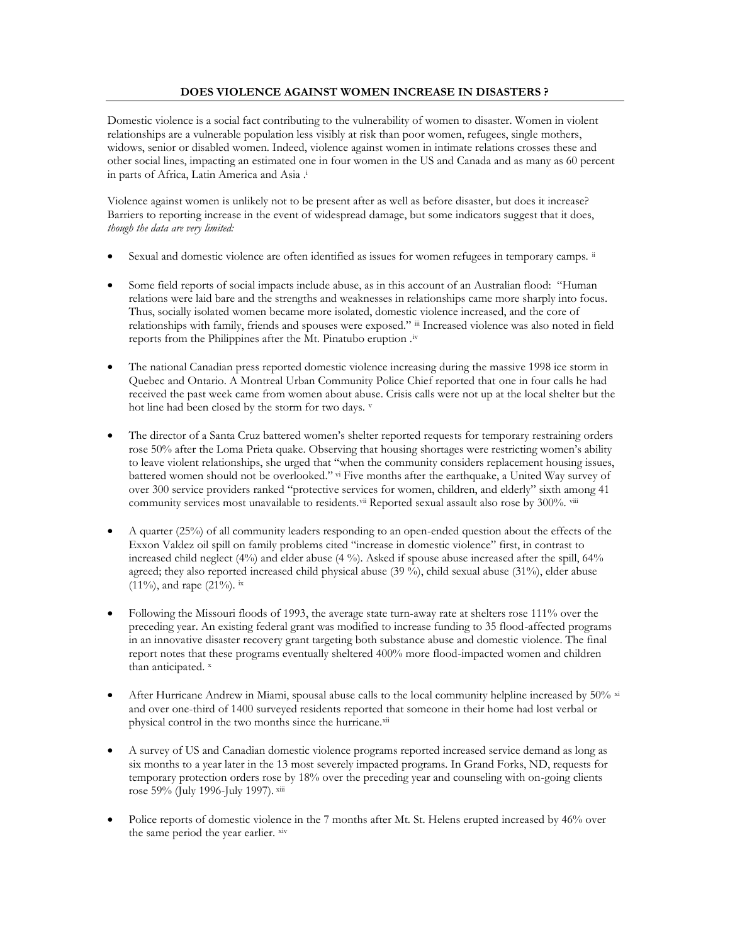## **DOES VIOLENCE AGAINST WOMEN INCREASE IN DISASTERS ?**

Domestic violence is a social fact contributing to the vulnerability of women to disaster. Women in violent relationships are a vulnerable population less visibly at risk than poor women, refugees, single mothers, widows, senior or disabled women. Indeed, violence against women in intimate relations crosses these and other social lines, impacting an estimated one in four women in the US and Canada and as many as 60 percent in parts of Africa, Latin America and Asia .<sup>i</sup>

Violence against women is unlikely not to be present after as well as before disaster, but does it increase? Barriers to reporting increase in the event of widespread damage, but some indicators suggest that it does, *though the data are very limited:*

- Sexual and domestic violence are often identified as issues for women refugees in temporary camps.  $\ddot{u}$
- Some field reports of social impacts include abuse, as in this account of an Australian flood: "Human relations were laid bare and the strengths and weaknesses in relationships came more sharply into focus. Thus, socially isolated women became more isolated, domestic violence increased, and the core of relationships with family, friends and spouses were exposed." iii Increased violence was also noted in field reports from the Philippines after the Mt. Pinatubo eruption .iv
- The national Canadian press reported domestic violence increasing during the massive 1998 ice storm in Quebec and Ontario. A Montreal Urban Community Police Chief reported that one in four calls he had received the past week came from women about abuse. Crisis calls were not up at the local shelter but the hot line had been closed by the storm for two days. v
- The director of a Santa Cruz battered women's shelter reported requests for temporary restraining orders rose 50% after the Loma Prieta quake. Observing that housing shortages were restricting women's ability to leave violent relationships, she urged that "when the community considers replacement housing issues, battered women should not be overlooked." vi Five months after the earthquake, a United Way survey of over 300 service providers ranked "protective services for women, children, and elderly" sixth among 41 community services most unavailable to residents.<sup>vii</sup> Reported sexual assault also rose by 300%. <sup>viii</sup>
- A quarter (25%) of all community leaders responding to an open-ended question about the effects of the Exxon Valdez oil spill on family problems cited "increase in domestic violence" first, in contrast to increased child neglect (4%) and elder abuse (4 %). Asked if spouse abuse increased after the spill, 64% agreed; they also reported increased child physical abuse (39 %), child sexual abuse (31%), elder abuse  $(11\%)$ , and rape  $(21\%)$ . ix
- Following the Missouri floods of 1993, the average state turn-away rate at shelters rose 111% over the preceding year. An existing federal grant was modified to increase funding to 35 flood-affected programs in an innovative disaster recovery grant targeting both substance abuse and domestic violence. The final report notes that these programs eventually sheltered 400% more flood-impacted women and children than anticipated. x
- After Hurricane Andrew in Miami, spousal abuse calls to the local community helpline increased by 50% xi and over one-third of 1400 surveyed residents reported that someone in their home had lost verbal or physical control in the two months since the hurricane.xii
- A survey of US and Canadian domestic violence programs reported increased service demand as long as six months to a year later in the 13 most severely impacted programs. In Grand Forks, ND, requests for temporary protection orders rose by 18% over the preceding year and counseling with on-going clients rose 59% (July 1996-July 1997). xiii
- Police reports of domestic violence in the 7 months after Mt. St. Helens erupted increased by 46% over the same period the year earlier. xiv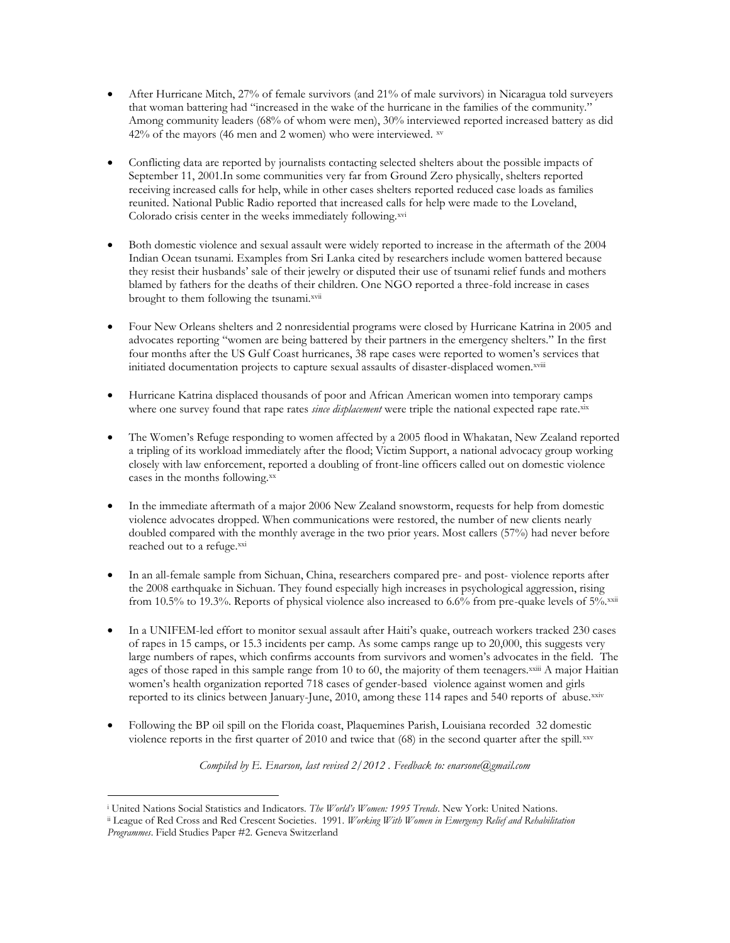- After Hurricane Mitch, 27% of female survivors (and 21% of male survivors) in Nicaragua told surveyers that woman battering had "increased in the wake of the hurricane in the families of the community." Among community leaders (68% of whom were men), 30% interviewed reported increased battery as did  $42%$  of the mayors (46 men and 2 women) who were interviewed.  $x$ v
- Conflicting data are reported by journalists contacting selected shelters about the possible impacts of September 11, 2001.In some communities very far from Ground Zero physically, shelters reported receiving increased calls for help, while in other cases shelters reported reduced case loads as families reunited. National Public Radio reported that increased calls for help were made to the Loveland, Colorado crisis center in the weeks immediately following.xvi
- Both domestic violence and sexual assault were widely reported to increase in the aftermath of the 2004 Indian Ocean tsunami. Examples from Sri Lanka cited by researchers include women battered because they resist their husbands' sale of their jewelry or disputed their use of tsunami relief funds and mothers blamed by fathers for the deaths of their children. One NGO reported a three-fold increase in cases brought to them following the tsunami.<sup>xvii</sup>
- Four New Orleans shelters and 2 nonresidential programs were closed by Hurricane Katrina in 2005 and advocates reporting "women are being battered by their partners in the emergency shelters." In the first four months after the US Gulf Coast hurricanes, 38 rape cases were reported to women's services that initiated documentation projects to capture sexual assaults of disaster-displaced women.xviii
- Hurricane Katrina displaced thousands of poor and African American women into temporary camps where one survey found that rape rates *since displacement* were triple the national expected rape rate.xix
- The Women's Refuge responding to women affected by a 2005 flood in Whakatan, New Zealand reported a tripling of its workload immediately after the flood; Victim Support, a national advocacy group working closely with law enforcement, reported a doubling of front-line officers called out on domestic violence cases in the months following.xx
- In the immediate aftermath of a major 2006 New Zealand snowstorm, requests for help from domestic violence advocates dropped. When communications were restored, the number of new clients nearly doubled compared with the monthly average in the two prior years. Most callers (57%) had never before reached out to a refuge.xxi
- In an all-female sample from Sichuan, China, researchers compared pre- and post- violence reports after the 2008 earthquake in Sichuan. They found especially high increases in psychological aggression, rising from 10.5% to 19.3%. Reports of physical violence also increased to 6.6% from pre-quake levels of 5% xxii
- In a UNIFEM-led effort to monitor sexual assault after Haiti's quake, outreach workers tracked 230 cases of rapes in 15 camps, or 15.3 incidents per camp. As some camps range up to 20,000, this suggests very large numbers of rapes, which confirms accounts from survivors and women's advocates in the field. The ages of those raped in this sample range from 10 to 60, the majority of them teenagers.xxiii A major Haitian women's health organization reported 718 cases of gender-based violence against women and girls reported to its clinics between January-June, 2010, among these 114 rapes and 540 reports of abuse.xxiv
- Following the BP oil spill on the Florida coast, Plaquemines Parish, Louisiana recorded 32 domestic violence reports in the first quarter of 2010 and twice that (68) in the second quarter after the spill.xxv

*Compiled by E. Enarson, last revised 2/2012 . Feedback to: enarsone@gmail.com*

 $\overline{a}$ <sup>i</sup> United Nations Social Statistics and Indicators. *The World's Women: 1995 Trends*. New York: United Nations.

ii League of Red Cross and Red Crescent Societies. 1991. *Working With Women in Emergency Relief and Rehabilitation Programmes*. Field Studies Paper #2. Geneva Switzerland